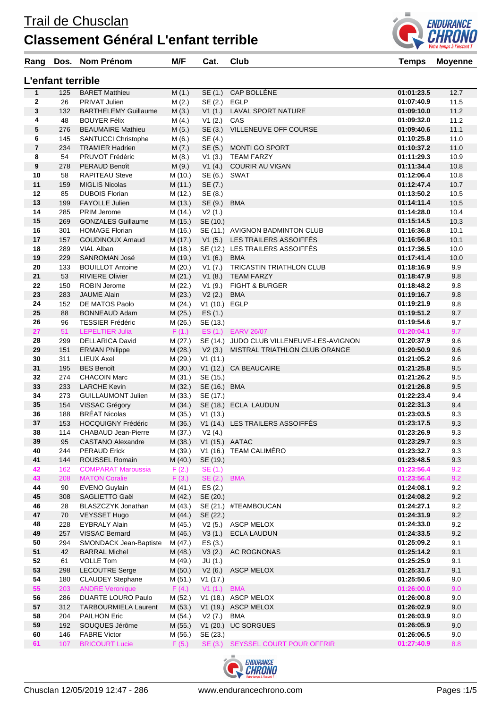## **Classement Général L'enfant terrible**



| Rang                    |                   | Dos. Nom Prénom                                | M/F                | Cat.               | Club                                      | <b>Temps</b>             | <b>Moyenne</b> |
|-------------------------|-------------------|------------------------------------------------|--------------------|--------------------|-------------------------------------------|--------------------------|----------------|
|                         | L'enfant terrible |                                                |                    |                    |                                           |                          |                |
| $\mathbf{1}$            | 125               | <b>BARET Matthieu</b>                          | M(1.)              | SE (1.)            | CAP BOLLÈNE                               | 01:01:23.5               | 12.7           |
| $\mathbf{2}$            | 26                | PRIVAT Julien                                  | M(2.)              | SE (2.)            | <b>EGLP</b>                               | 01:07:40.9               | 11.5           |
| 3                       | 132               | <b>BARTHELEMY Guillaume</b>                    | M(3.)              | V1(1.)             | LAVAL SPORT NATURE                        | 01:09:10.0               | 11.2           |
| 4                       | 48                | <b>BOUYER Félix</b>                            | M(4.)              | V1(2.)             | CAS                                       | 01:09:32.0               | 11.2           |
| 5                       | 276               | <b>BEAUMAIRE Mathieu</b>                       | M(5.)              | SE (3.)            | VILLENEUVE OFF COURSE                     | 01:09:40.6               | 11.1           |
| 6                       | 145               | <b>SANTUCCI Christophe</b>                     | M(6.)              | SE (4.)            |                                           | 01:10:25.8               | 11.0           |
| $\overline{\mathbf{r}}$ | 234               | <b>TRAMIER Hadrien</b>                         | M(7.)              | SE (5.)            | MONTI GO SPORT                            | 01:10:37.2               | 11.0           |
| 8                       | 54                | PRUVOT Frédéric                                | M(8.)              | V1(3.)             | <b>TEAM FARZY</b>                         | 01:11:29.3               | 10.9           |
| 9                       | 278               | PERAUD Benoît                                  | M(9.)              | V1(4.)             | <b>COURIR AU VIGAN</b><br>SWAT            | 01:11:34.4               | 10.8           |
| 10<br>11                | 58<br>159         | <b>RAPITEAU Steve</b><br><b>MIGLIS Nicolas</b> | M (10.)<br>M(11.)  | SE (6.)<br>SE (7.) |                                           | 01:12:06.4<br>01:12:47.4 | 10.8<br>10.7   |
| 12                      | 85                | <b>DUBOIS Florian</b>                          | M (12.)            | SE (8.)            |                                           | 01:13:50.2               | 10.5           |
| 13                      | 199               | <b>FAYOLLE Julien</b>                          | M(13.)             | SE (9.)            | <b>BMA</b>                                | 01:14:11.4               | 10.5           |
| 14                      | 285               | PRIM Jerome                                    | M (14.)            | V2(1.)             |                                           | 01:14:28.0               | 10.4           |
| 15                      | 269               | <b>GONZALES Guillaume</b>                      | M (15.)            | SE (10.)           |                                           | 01:15:14.5               | 10.3           |
| 16                      | 301               | <b>HOMAGE Florian</b>                          | M (16.)            |                    | SE (11.) AVIGNON BADMINTON CLUB           | 01:16:36.8               | 10.1           |
| 17                      | 157               | <b>GOUDINOUX Arnaud</b>                        | M (17.)            |                    | V1 (5.) LES TRAILERS ASSOIFFÉS            | 01:16:56.8               | 10.1           |
| 18                      | 289               | VIAL Alban                                     | M (18.)            |                    | SE (12.) LES TRAILERS ASSOIFFÉS           | 01:17:36.5               | 10.0           |
| 19                      | 229               | <b>SANROMAN José</b>                           | M (19.)            | V1(6.)             | BMA                                       | 01:17:41.4               | 10.0           |
| 20                      | 133               | <b>BOUILLOT Antoine</b>                        | M(20.)             | V1(7.)             | TRICASTIN TRIATHLON CLUB                  | 01:18:16.9               | 9.9            |
| 21                      | 53                | <b>RIVIERE Olivier</b>                         | M(21.)             | V1(8.)             | <b>TEAM FARZY</b>                         | 01:18:47.9               | 9.8            |
| 22                      | 150               | <b>ROBIN Jerome</b>                            | M (22.)            | V1(9.)             | <b>FIGHT &amp; BURGER</b>                 | 01:18:48.2               | 9.8            |
| 23                      | 283               | <b>JAUME Alain</b>                             | M (23.)            | V2(2.)             | <b>BMA</b>                                | 01:19:16.7               | 9.8            |
| 24                      | 152               | DE MATOS Paolo                                 | M(24.)             | V1 (10.) EGLP      |                                           | 01:19:21.9               | 9.8            |
| 25                      | 88                | <b>BONNEAUD Adam</b>                           | M(25.)             | ES(1.)             |                                           | 01:19:51.2               | 9.7            |
| 26                      | 96                | <b>TESSIER Frédéric</b>                        | M (26.)            | SE (13.)           |                                           | 01:19:54.6               | 9.7            |
| 27                      | 51                | <b>LEPELTIER Julia</b>                         | F(1.)              |                    | ES (1.) EARV 26/07                        | 01:20:04.1               | 9.7            |
| 28                      | 299               | <b>DELLARICA David</b>                         | M (27.)            |                    | SE (14.) JUDO CLUB VILLENEUVE-LES-AVIGNON | 01:20:37.9               | 9.6            |
| 29                      | 151<br>311        | <b>ERMAN Philippe</b>                          | M(28.)             | V2(3.)             | MISTRAL TRIATHLON CLUB ORANGE             | 01:20:50.9               | 9.6<br>9.6     |
| 30<br>31                | 195               | LIEUX Axel<br><b>BES Benoît</b>                | M (29.)<br>M(30.)  | V1(11.)            | V1 (12.) CA BEAUCAIRE                     | 01:21:05.2<br>01:21:25.8 | 9.5            |
| 32                      | 274               | <b>CHACOIN Marc</b>                            | M (31.)            | SE (15.)           |                                           | 01:21:26.2               | 9.5            |
| 33                      | 233               | <b>LARCHE Kevin</b>                            | M(32.)             | SE (16.) BMA       |                                           | 01:21:26.8               | 9.5            |
| 34                      | 273               | <b>GUILLAUMONT Julien</b>                      | M (33.)            | SE (17.)           |                                           | 01:22:23.4               | 9.4            |
| 35                      | 154               | VISSAC Grégory                                 | M (34.)            |                    | SE (18.) ECLA LAUDUN                      | 01:22:31.3               | 9.4            |
| 36                      | 188               | <b>BRÉAT Nicolas</b>                           | M (35.)            | V1(13.)            |                                           | 01:23:03.5               | 9.3            |
| 37                      | 153               | <b>HOCQUIGNY Frédéric</b>                      | M(36.)             |                    | V1 (14.) LES TRAILERS ASSOIFFÉS           | 01:23:17.5               | 9.3            |
| 38                      |                   | 114 CHABAUD Jean-Pierre                        |                    | M (37.) V2 (4.)    |                                           | 01:23:26.9               | 9.3            |
| 39                      | 95                | <b>CASTANO Alexandre</b>                       | M(38.)             | V1 (15.) AATAC     |                                           | 01:23:29.7               | 9.3            |
| 40                      | 244               | <b>PERAUD Erick</b>                            | M (39.)            |                    | V1 (16.) TEAM CALIMÉRO                    | 01:23:32.7               | 9.3            |
| 41                      | 144               | ROUSSEL Romain                                 | M(40.)             | SE (19.)           |                                           | 01:23:48.5               | 9.3            |
| 42                      | 162               | <b>COMPARAT Maroussia</b>                      | F(2.)              | SE(1.)             |                                           | 01:23:56.4               | 9.2            |
| 43                      | 208               | <b>MATON Coralie</b>                           | F(3.)              | SE(2.)             | <b>BMA</b>                                | 01:23:56.4               | 9.2            |
| 44                      | 90                | <b>EVENO Guylain</b>                           | M(41.)             | ES(2.)             |                                           | 01:24:08.1               | 9.2            |
| 45                      | 308               | SAGLIETTO Gaël                                 | M (42.)            | SE (20.)           |                                           | 01:24:08.2               | 9.2            |
| 46                      | 28                | BLASZCZYK Jonathan                             | M(43.)             |                    | SE (21.) #TEAMBOUCAN                      | 01:24:27.1               | 9.2            |
| 47<br>48                | 70<br>228         | <b>VEYSSET Hugo</b><br><b>EYBRALY Alain</b>    | M (44.)<br>M (45.) | SE (22.)           | V2 (5.) ASCP MELOX                        | 01:24:31.9<br>01:24:33.0 | 9.2<br>9.2     |
| 49                      | 257               | <b>VISSAC Bernard</b>                          | M (46.)            |                    | V3 (1.) ECLA LAUDUN                       | 01:24:33.5               | 9.2            |
| 50                      | 294               | SMONDACK Jean-Baptiste                         | M (47.)            | ES(3.)             |                                           | 01:25:09.2               | 9.1            |
| 51                      | 42                | <b>BARRAL Michel</b>                           | M (48.)            | V3(2.)             | AC ROGNONAS                               | 01:25:14.2               | 9.1            |
| 52                      | 61                | <b>VOLLE Tom</b>                               | M (49.)            | JU(1.)             |                                           | 01:25:25.9               | 9.1            |
| 53                      | 298               | <b>LECOUTRE Serge</b>                          | M(50.)             | V2(6.)             | <b>ASCP MELOX</b>                         | 01:25:31.7               | 9.1            |
| 54                      | 180               | <b>CLAUDEY Stephane</b>                        | M (51.)            | V1(17.)            |                                           | 01:25:50.6               | 9.0            |
| 55                      | 203               | <b>ANDRE Veronique</b>                         | F(4.)              | V1 (1.) BMA        |                                           | 01:26:00.0               | 9.0            |
| 56                      | 286               | <b>DUARTE LOURO Paulo</b>                      | M (52.)            |                    | V1 (18.) ASCP MELOX                       | 01:26:00.8               | 9.0            |
| 57                      | 312               | <b>TARBOURMIELA Laurent</b>                    | M(53.)             |                    | V1 (19.) ASCP MELOX                       | 01:26:02.9               | 9.0            |
| 58                      | 204               | <b>PAILHON Eric</b>                            | M(54.)             | V2 (7.) BMA        |                                           | 01:26:03.9               | 9.0            |
| 59                      | 192               | SOUQUES Jérôme                                 | M(55.)             |                    | V1 (20.) UC SORGUES                       | 01:26:05.9               | 9.0            |
| 60                      | 146               | <b>FABRE Victor</b>                            | M (56.)            | SE (23.)           |                                           | 01:26:06.5               | 9.0            |
| 61                      | 107               | <b>BRICOURT Lucie</b>                          | F(5.)              |                    | SE (3.) SEYSSEL COURT POUR OFFRIR         | 01:27:40.9               | 8.8            |

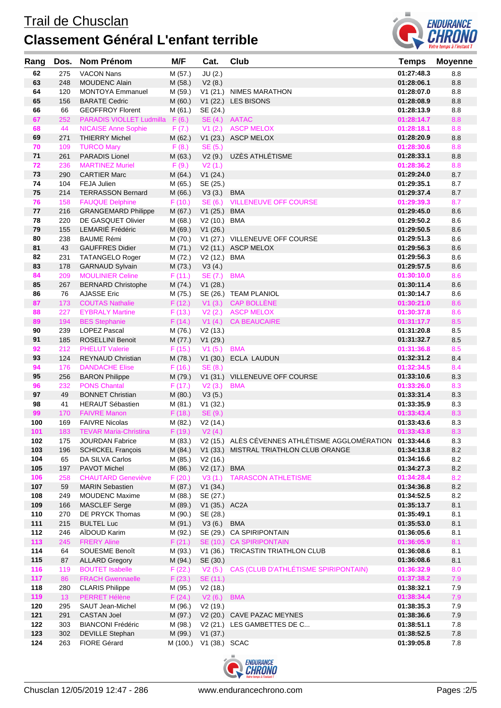## Trail de Chusclan **Classement Général L'enfant terrible**



| Rang | Dos. | <b>Nom Prénom</b>               | M/F      | Cat.             | Club                                                       | <b>Temps</b> | <b>Moyenne</b> |
|------|------|---------------------------------|----------|------------------|------------------------------------------------------------|--------------|----------------|
| 62   | 275  | <b>VACON Nans</b>               | M (57.)  | JU(2.)           |                                                            | 01:27:48.3   | 8.8            |
| 63   | 248  | <b>MOUDENC Alain</b>            | M (58.)  | V2(8.)           |                                                            | 01:28:06.1   | 8.8            |
| 64   | 120  | <b>MONTOYA Emmanuel</b>         | M (59.)  |                  | V1 (21.) NIMES MARATHON                                    | 01:28:07.0   | 8.8            |
| 65   | 156  | <b>BARATE Cedric</b>            | M (60.)  |                  | V1 (22.) LES BISONS                                        | 01:28:08.9   | 8.8            |
| 66   | 66   | <b>GEOFFROY Florent</b>         | M (61.)  | SE (24.)         |                                                            | 01:28:13.9   | 8.8            |
| 67   | 252  | PARADIS VIOLLET Ludmilla F (6.) |          | SE (4.) AATAC    |                                                            | 01:28:14.7   | 8.8            |
| 68   | 44   | <b>NICAISE Anne Sophie</b>      | F(7.)    | V1(2.)           | <b>ASCP MELOX</b>                                          | 01:28:18.1   | 8.8            |
| 69   | 271  | <b>THIERRY Michel</b>           | M (62.)  |                  | V1 (23.) ASCP MELOX                                        | 01:28:20.9   | 8.8            |
| 70   | 109  | <b>TURCO Mary</b>               | F(8.)    | SE (5.)          |                                                            | 01:28:30.6   | 8.8            |
| 71   | 261  | <b>PARADIS Lionel</b>           | M (63.)  | V2(9.)           | UZÈS ATHLÉTISME                                            | 01:28:33.1   | 8.8            |
| 72   | 236  | <b>MARTINEZ Muriel</b>          | F(9.)    | V2(1.)           |                                                            | 01:28:36.2   | 8.8            |
| 73   | 290  | <b>CARTIER Marc</b>             | M(64.)   | V1(24.)          |                                                            | 01:29:24.0   | 8.7            |
| 74   | 104  | FEJA Julien                     | M (65.)  | SE (25.)         |                                                            | 01:29:35.1   | 8.7            |
| 75   | 214  | <b>TERRASSON Bernard</b>        | M(66.)   | V3(3.)           | <b>BMA</b>                                                 | 01:29:37.4   | 8.7            |
| 76   | 158  | <b>FAUQUE Delphine</b>          | F(10.)   | SE(6.)           | <b>VILLENEUVE OFF COURSE</b>                               | 01:29:39.3   | 8.7            |
| 77   | 216  | <b>GRANGEMARD Philippe</b>      | M (67.)  | V1(25.)          | <b>BMA</b>                                                 | 01:29:45.0   | 8.6            |
| 78   | 220  | DE GASQUET Olivier              | M (68.)  | V2 (10.) BMA     |                                                            | 01:29:50.2   | 8.6            |
| 79   | 155  | LEMARIÉ Frédéric                | M (69.)  | V1(26.)          |                                                            | 01:29:50.5   | 8.6            |
| 80   | 238  | <b>BAUME Rémi</b>               | M (70.)  |                  | V1 (27.) VILLENEUVE OFF COURSE                             | 01:29:51.3   | 8.6            |
| 81   | 43   | <b>GAUFFRES Didier</b>          | M(71.)   |                  | V2 (11.) ASCP MELOX                                        | 01:29:56.3   | 8.6            |
| 82   | 231  | <b>TATANGELO Roger</b>          | M (72.)  | V2 (12.) BMA     |                                                            | 01:29:56.3   | 8.6            |
| 83   | 178  | <b>GARNAUD Sylvain</b>          | M (73.)  | V3(4.)           |                                                            | 01:29:57.5   | 8.6            |
| 84   | 209  | <b>MOULINIER Celine</b>         | F(11.)   | SE (7.)          | <b>BMA</b>                                                 | 01:30:10.0   | 8.6            |
| 85   | 267  | <b>BERNARD Christophe</b>       | M (74.)  | V1(28.)          |                                                            | 01:30:11.4   | 8.6            |
| 86   | 76   | <b>AJASSE Eric</b>              | M (75.)  |                  | SE (26.) TEAM PLANIOL                                      | 01:30:14.7   | 8.6            |
| 87   | 173  | <b>COUTAS Nathalie</b>          | F(12.)   | V1(3.)           | <b>CAP BOLLÈNE</b>                                         | 01:30:21.0   | 8.6            |
| 88   | 227  | <b>EYBRALY Martine</b>          | F(13.)   | V2(2.)           | <b>ASCP MELOX</b>                                          | 01:30:37.8   | 8.6            |
| 89   | 194  | <b>BES Stephanie</b>            | F(14.)   | V1(4.)           | <b>CA BEAUCAIRE</b>                                        | 01:31:17.7   | 8.5            |
| 90   | 239  | <b>LOPEZ Pascal</b>             | M (76.)  | V2(13.)          |                                                            | 01:31:20.8   | 8.5            |
| 91   | 185  | <b>ROSELLINI Benoit</b>         | M (77.)  | V1(29.)          |                                                            | 01:31:32.7   | 8.5            |
| 92   | 212  | <b>PHELUT Valerie</b>           | F(15.)   | V1(5.)           | <b>BMA</b>                                                 | 01:31:36.8   | 8.5            |
| 93   | 124  | <b>REYNAUD Christian</b>        | M (78.)  |                  | V1 (30.) ECLA LAUDUN                                       | 01:32:31.2   | 8.4            |
| 94   | 176  | <b>DANDACHE Elise</b>           | F(16.)   | SE(8.)           |                                                            | 01:32:34.5   | 8.4            |
| 95   | 256  | <b>BARON Philippe</b>           | M (79.)  |                  | V1 (31.) VILLENEUVE OFF COURSE                             | 01:33:10.6   | 8.3            |
| 96   | 232  | <b>PONS Chantal</b>             | F(17.)   |                  | <b>BMA</b>                                                 | 01:33:26.0   | 8.3            |
| 97   | 49   | <b>BONNET Christian</b>         | M (80.)  | V2(3.)<br>V3(5.) |                                                            | 01:33:31.4   | 8.3            |
| 98   | 41   | <b>HERAUT Sébastien</b>         | M (81.)  | V1(32.)          |                                                            | 01:33:35.9   | 8.3            |
| 99   | 170  | <b>FAIVRE Manon</b>             | F(18.)   | SE (9.)          |                                                            | 01:33:43.4   | 8.3            |
| 100  | 169  | <b>FAIVRE Nicolas</b>           | M (82.)  | V2(14.)          |                                                            | 01:33:43.6   | 8.3            |
| 101  | 183  | <b>TEVAR Maria-Christina</b>    | F(19.)   | V2(4.)           |                                                            | 01:33:43.8   | 8.3            |
| 102  | 175  | <b>JOURDAN Fabrice</b>          | M (83.)  |                  | V2 (15.) ALÈS CÉVENNES ATHLÉTISME AGGLOMÉRATION 01:33:44.6 |              | 8.3            |
| 103  | 196  | <b>SCHICKEL François</b>        | M (84.)  |                  | V1 (33.) MISTRAL TRIATHLON CLUB ORANGE                     | 01:34:13.8   | 8.2            |
| 104  | 65   | DA SILVA Carlos                 | M (85.)  | V2(16.)          |                                                            | 01:34:16.6   | $8.2\,$        |
| 105  | 197  | PAVOT Michel                    | M (86.)  | V2 (17.) BMA     |                                                            | 01:34:27.3   | 8.2            |
| 106  | 258  | <b>CHAUTARD Geneviève</b>       | F(20.)   | V3(1.)           | <b>TARASCON ATHLETISME</b>                                 | 01:34:28.4   | 8.2            |
| 107  | 59   | <b>MARIN Sebastien</b>          | M (87.)  | V1(34.)          |                                                            | 01:34:36.8   | $8.2\,$        |
| 108  | 249  | <b>MOUDENC Maxime</b>           | M (88.)  | SE (27.)         |                                                            | 01:34:52.5   | 8.2            |
| 109  | 166  | MASCLEF Serge                   | M (89.)  | V1 (35.) AC2A    |                                                            | 01:35:13.7   | 8.1            |
| 110  | 270  | DE PRYCK Thomas                 | M (90.)  | SE (28.)         |                                                            | 01:35:49.1   | 8.1            |
| 111  | 215  | <b>BULTEL Luc</b>               | M (91.)  | V3(6.)           | <b>BMA</b>                                                 | 01:35:53.0   | 8.1            |
| 112  | 246  | AIDOUD Karim                    | M (92.)  |                  | SE (29.) CA SPIRIPONTAIN                                   | 01:36:05.6   | 8.1            |
| 113  | 245  | <b>FRERY Aline</b>              | F(21.)   |                  | SE (10.) CA SPIRIPONTAIN                                   | 01:36:05.9   | 8.1            |
| 114  | 64   | SOUESME Benoît                  | M (93.)  | V1(36.)          | TRICASTIN TRIATHLON CLUB                                   | 01:36:08.6   | 8.1            |
| 115  | 87   | <b>ALLARD Gregory</b>           | M (94.)  | SE (30.)         |                                                            | 01:36:08.6   | 8.1            |
| 116  | 119  | <b>BOUTET Isabelle</b>          | F(22.)   | V2(5.)           | CAS (CLUB D'ATHLÉTISME SPIRIPONTAIN)                       | 01:36:32.9   | 8.0            |
| 117  | 86   | <b>FRACH Gwennaelle</b>         | F(23.)   | SE (11.)         |                                                            | 01:37:38.2   | 7.9            |
| 118  | 280  | <b>CLARIS Philippe</b>          | M (95.)  | V2(18.)          |                                                            | 01:38:32.1   | 7.9            |
| 119  | 13   | PERRET Hélène                   | F(24.)   | V2(6.)           | <b>BMA</b>                                                 | 01:38:34.4   | 7.9            |
| 120  | 295  | SAUT Jean-Michel                | M (96.)  | V2(19.)          |                                                            | 01:38:35.3   | 7.9            |
| 121  | 291  | <b>CASTAN Joel</b>              | M (97.)  |                  | V2 (20.) CAVE PAZAC MEYNES                                 | 01:38:36.6   | 7.9            |
| 122  | 303  | <b>BIANCONI Frédéric</b>        | M (98.)  |                  | V2 (21.) LES GAMBETTES DE C                                | 01:38:51.1   | 7.8            |
| 123  | 302  | <b>DEVILLE Stephan</b>          | M (99.)  | V1(37.)          |                                                            | 01:38:52.5   | $7.8\,$        |
| 124  | 263  | <b>FIORE Gérard</b>             | M (100.) | V1 (38.) SCAC    |                                                            | 01:39:05.8   | 7.8            |
|      |      |                                 |          |                  |                                                            |              |                |

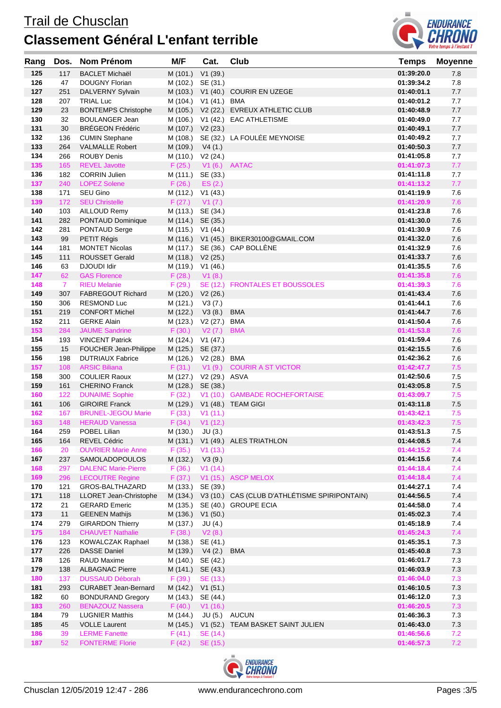

| Rang       | Dos.           | <b>Nom Prénom</b>                            | M/F                | Cat.                             | <b>Club</b>                                   | <b>Temps</b>             | <b>Moyenne</b> |
|------------|----------------|----------------------------------------------|--------------------|----------------------------------|-----------------------------------------------|--------------------------|----------------|
| 125        | 117            | <b>BACLET Michaël</b>                        | M (101.)           | V1(39.)                          |                                               | 01:39:20.0               | 7.8            |
| 126        | 47             | DOUGNY Florian                               | M (102.)           | SE (31.)                         |                                               | 01:39:34.2               | 7.8            |
| 127        | 251            | DALVERNY Sylvain                             | M (103.)           |                                  | V1 (40.) COURIR EN UZEGE                      | 01:40:01.1               | 7.7            |
| 128        | 207            | <b>TRIAL Luc</b>                             | M (104.)           | V1 (41.) BMA                     |                                               | 01:40:01.2               | 7.7            |
| 129        | 23             | <b>BONTEMPS Christophe</b>                   | M (105.)           |                                  | V2 (22.) EVREUX ATHLETIC CLUB                 | 01:40:48.9               | 7.7            |
| 130        | 32             | <b>BOULANGER Jean</b>                        | M (106.)           |                                  | V1 (42.) EAC ATHLETISME                       | 01:40:49.0               | 7.7            |
| 131        | 30             | <b>BRÉGEON Frédéric</b>                      | M (107.)           | V2(23.)                          |                                               | 01:40:49.1               | 7.7            |
| 132        | 136            | <b>CUMIN Stephane</b>                        | M (108.)           |                                  | SE (32.) LA FOULÉE MEYNOISE                   | 01:40:49.2               | 7.7            |
| 133        | 264            | <b>VALMALLE Robert</b>                       | M (109.) V4 (1.)   |                                  |                                               | 01:40:50.3               | $7.7\,$        |
| 134        | 266            | <b>ROUBY Denis</b>                           | M (110.) V2 (24.)  |                                  |                                               | 01:41:05.8               | 7.7            |
| 135        | 165            | <b>REVEL Javotte</b>                         | F(25.)             | V1 (6.) AATAC                    |                                               | 01:41:07.3               | 7.7            |
| 136<br>137 | 182<br>240     | <b>CORRIN Julien</b>                         | M (111.) SE (33.)  |                                  |                                               | 01:41:11.8<br>01:41:13.2 | 7.7<br>7.7     |
| 138        | 171            | <b>LOPEZ Solene</b><br>SEU Gino              | F(26.)<br>M (112.) | ES(2.)<br>V1 (43.)               |                                               | 01:41:19.9               | 7.6            |
| 139        | 172            | <b>SEU Christelle</b>                        | $F(27.)$ V1 $(7.)$ |                                  |                                               | 01:41:20.9               | 7.6            |
| 140        | 103            | AILLOUD Remy                                 | M (113.)           | SE (34.)                         |                                               | 01:41:23.8               | 7.6            |
| 141        | 282            | PONTAUD Dominique                            | M (114.) SE (35.)  |                                  |                                               | 01:41:30.0               | 7.6            |
| 142        | 281            | PONTAUD Serge                                | M (115.)           | V1(44.)                          |                                               | 01:41:30.9               | 7.6            |
| 143        | 99             | PETIT Régis                                  |                    |                                  | M (116.) V1 (45.) BIKER30100@GMAIL.COM        | 01:41:32.0               | 7.6            |
| 144        | 181            | <b>MONTET Nicolas</b>                        |                    |                                  | M (117.) SE (36.) CAP BOLLÈNE                 | 01:41:32.9               | 7.6            |
| 145        | 111            | <b>ROUSSET Gerald</b>                        | M (118.) V2 (25.)  |                                  |                                               | 01:41:33.7               | 7.6            |
| 146        | 63             | DJOUDI Idir                                  | M (119.)           | V1(46.)                          |                                               | 01:41:35.5               | 7.6            |
| 147        | 62             | <b>GAS Florence</b>                          | F(28.)             | V1(8.)                           |                                               | 01:41:35.8               | 7.6            |
| 148        | $\overline{7}$ | <b>RIEU Melanie</b>                          | F(29.)             |                                  | SE (12.) FRONTALES ET BOUSSOLES               | 01:41:39.3               | 7.6            |
| 149        | 307            | <b>FABREGOUT Richard</b>                     | M (120.)           | V2(26.)                          |                                               | 01:41:43.4               | 7.6            |
| 150        | 306            | <b>RESMOND Luc</b>                           | M (121.)           | V3(7.)                           |                                               | 01:41:44.1               | 7.6            |
| 151        | 219            | <b>CONFORT Michel</b>                        | M (122.)           | V3(8.)                           | <b>BMA</b>                                    | 01:41:44.7               | 7.6            |
| 152        | 211            | <b>GERKE Alain</b>                           | M (123.)           | V2 (27.) BMA                     |                                               | 01:41:50.4               | 7.6            |
| 153        | 284            | <b>JAUME Sandrine</b>                        | F(30.)             | V2(7.)                           | <b>BMA</b>                                    | 01:41:53.8               | 7.6            |
| 154        | 193            | <b>VINCENT Patrick</b>                       | M (124.)           | V1(47.)                          |                                               | 01:41:59.4               | 7.6            |
| 155        | 15             | FOUCHER Jean-Philippe                        | M (125.) SE (37.)  |                                  |                                               | 01:42:15.5               | 7.6            |
| 156        | 198            | <b>DUTRIAUX Fabrice</b>                      |                    | M (126.) V2 (28.) BMA            |                                               | 01:42:36.2               | 7.6            |
| 157<br>158 | 108<br>300     | <b>ARSIC Biliana</b><br><b>COULIER Raoux</b> | F(31.)             | V1(9.)<br>M (127.) V2 (29.) ASVA | <b>COURIR A ST VICTOR</b>                     | 01:42:47.7<br>01:42:50.6 | 7.5<br>7.5     |
| 159        | 161            | <b>CHERINO Franck</b>                        | M (128.)           | SE (38.)                         |                                               | 01:43:05.8               | 7.5            |
| 160        | 122            | <b>DUNAIME Sophie</b>                        | F(32.)             |                                  | V1 (10.) GAMBADE ROCHEFORTAISE                | 01:43:09.7               | 7.5            |
| 161        | 106            | <b>GIROIRE Franck</b>                        | M (129.)           |                                  | V1 (48.) TEAM GIGI                            | 01:43:11.8               | $7.5$          |
| 162        | 167            | <b>BRUNEL-JEGOU Marie</b>                    | F(33.)             | V1(11.)                          |                                               | 01:43:42.1               | 7.5            |
| 163        | 148            | <b>HERAUD Vanessa</b>                        | F(34.)             | V1(12.)                          |                                               | 01:43:42.3               | 7.5            |
| 164        | 259            | POBEL Lilian                                 | M (130.)           | JU(3.)                           |                                               | 01:43:51.3               | 7.5            |
| 165        | 164            | <b>REVEL Cédric</b>                          | M (131.)           |                                  | V1 (49.) ALES TRIATHLON                       | 01:44:08.5               | 7.4            |
| 166        | 20             | <b>OUVRIER Marie Anne</b>                    | F(35.)             | V1(13.)                          |                                               | 01:44:15.2               | 7.4            |
| 167        | 237            | <b>SAMOLADOPOULOS</b>                        | M (132.)           | V3(9.)                           |                                               | 01:44:15.6               | $7.4$          |
| 168        | 297            | <b>DALENC Marie-Pierre</b>                   | F(36.)             | V1(14.)                          |                                               | 01:44:18.4               | 7.4            |
| 169        | 296            | <b>LECOUTRE Regine</b>                       | F(37.)             |                                  | V1 (15.) ASCP MELOX                           | 01:44:18.4               | 7.4            |
| 170        | 121            | GROS-BALTHAZARD                              | M (133.)           | SE (39.)                         |                                               | 01:44:27.1               | 7.4            |
| 171        | 118            | LLORET Jean-Christophe                       | M (134.)           |                                  | V3 (10.) CAS (CLUB D'ATHLÉTISME SPIRIPONTAIN) | 01:44:56.5               | $7.4$          |
| 172        | 21             | <b>GERARD Emeric</b>                         |                    |                                  | M (135.) SE (40.) GROUPE ECIA                 | 01:44:58.0               | 7.4            |
| 173        | 11             | <b>GEENEN Mathijs</b>                        | M (136.)           | V1(50.)                          |                                               | 01:45:02.3               | 7.4            |
| 174        | 279            | <b>GIRARDON Thierry</b>                      | M (137.)           | JU(4.)                           |                                               | 01:45:18.9               | 7.4            |
| 175<br>176 | 184<br>123     | <b>CHAUVET Nathalie</b>                      | F(38.)<br>M (138.) | V2(8.)                           |                                               | 01:45:24.3<br>01:45:35.1 | 7.4<br>7.3     |
| 177        | 226            | KOWALCZAK Raphael<br><b>DASSE Daniel</b>     | M (139.)           | SE (41.)<br>V4(2.)               | <b>BMA</b>                                    | 01:45:40.8               | $7.3$          |
| 178        | 126            | <b>RAUD Maxime</b>                           | M (140.)           | SE (42.)                         |                                               | 01:46:01.7               | 7.3            |
| 179        | 138            | <b>ALBAGNAC Pierre</b>                       | M (141.)           | SE (43.)                         |                                               | 01:46:03.9               | $7.3$          |
| 180        | 137            | <b>DUSSAUD Déborah</b>                       | F(39.)             | SE (13.)                         |                                               | 01:46:04.0               | 7.3            |
| 181        | 293            | <b>CURABET Jean-Bernard</b>                  | M (142.)           | V1(51.)                          |                                               | 01:46:10.5               | 7.3            |
| 182        | 60             | <b>BONDURAND Gregory</b>                     | M (143.)           | SE (44.)                         |                                               | 01:46:12.0               | 7.3            |
| 183        | 260            | <b>BENAZOUZ Nassera</b>                      | F(40.)             | V1(16.)                          |                                               | 01:46:20.5               | 7.3            |
| 184        | 79             | <b>LUGNIER Matthis</b>                       | M (144.)           | JU (5.)                          | <b>AUCUN</b>                                  | 01:46:36.3               | 7.3            |
| 185        | 45             | <b>VOLLE Laurent</b>                         | M (145.)           |                                  | V1 (52.) TEAM BASKET SAINT JULIEN             | 01:46:43.0               | $7.3$          |
| 186        | 39             | <b>LERME Fanette</b>                         | F(41.)             | SE (14.)                         |                                               | 01:46:56.6               | 7.2            |
| 187        | 52             | <b>FONTERME Florie</b>                       | F(42.)             | SE (15.)                         |                                               | 01:46:57.3               | $7.2$          |

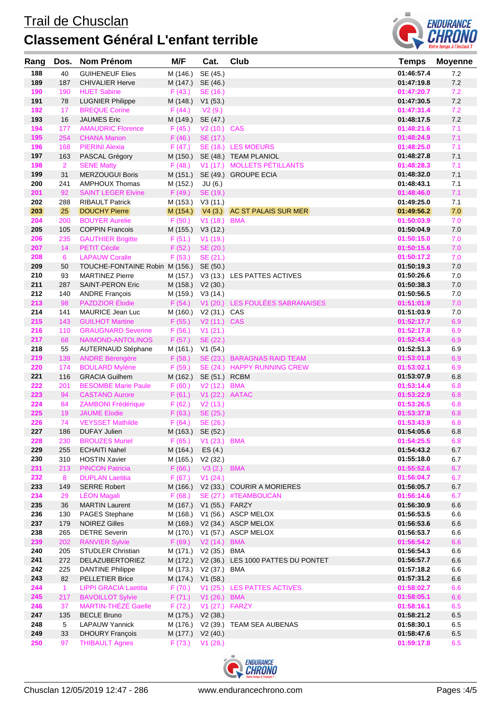## Trail de Chusclan **Classement Général L'enfant terrible**



| Rang | Dos.            | <b>Nom Prénom</b>                       | M/F                   | Cat.           | <b>Club</b>                                 | <b>Temps</b> | <b>Moyenne</b> |
|------|-----------------|-----------------------------------------|-----------------------|----------------|---------------------------------------------|--------------|----------------|
| 188  | 40              | <b>GUIHENEUF Elies</b>                  | M (146.)              | SE (45.)       |                                             | 01:46:57.4   | 7.2            |
| 189  | 187             | <b>CHIVALIER Herve</b>                  | M (147.)              | SE (46.)       |                                             | 01:47:19.8   | 7.2            |
| 190  | 190             | <b>HUET Sabine</b>                      | F(43.)                | SE (16.)       |                                             | 01:47:20.7   | 7.2            |
| 191  | 78              | <b>LUGNIER Philippe</b>                 | M (148.)              | V1(53.)        |                                             | 01:47:30.5   | $7.2\,$        |
| 192  | 17              | <b>BREQUE Corine</b>                    | F(44.)                | V2(9.)         |                                             | 01:47:31.4   | 7.2            |
| 193  | 16              | <b>JAUMES Eric</b>                      | M (149.)              | SE (47.)       |                                             | 01:48:17.5   | 7.2            |
| 194  | 177             | <b>AMAUDRIC Florence</b>                | F(45.)                | V2 (10.) CAS   |                                             | 01:48:21.6   | 7.1            |
| 195  | 254             | <b>CHANA Manon</b>                      | F(46.)                | SE (17.)       |                                             | 01:48:24.9   | 7.1            |
| 196  | 168             | <b>PIERINI Alexia</b>                   | F(47.)                |                | SE (18.) LES MOEURS                         | 01:48:25.0   | 7.1            |
| 197  | 163             | PASCAL Grégory                          | M (150.)              |                | SE (48.) TEAM PLANIOL                       | 01:48:27.8   | 7.1            |
| 198  | $\overline{2}$  | <b>SENE Matty</b>                       | F(48.)                |                | V1 (17.) MOLLETS PÉTILLANTS                 | 01:48:28.3   | 7.1            |
| 199  | 31              | <b>MERZOUGUI Boris</b>                  | M (151.)              |                | SE (49.) GROUPE ECIA                        | 01:48:32.0   | 7.1            |
| 200  | 241             | AMPHOUX Thomas                          | M (152.)              | JU (6.)        |                                             | 01:48:43.1   | 7.1            |
| 201  | 92              | <b>SAINT LEGER Elvine</b>               | F(49.)                | SE (19.)       |                                             | 01:48:46.0   | 7.1            |
| 202  | 288             | <b>RIBAULT Patrick</b>                  | M (153.)              | V3(11.)        |                                             | 01:49:25.0   | 7.1            |
| 203  | 25              | <b>DOUCHY Pierre</b>                    |                       |                | M (154.) V4 (3.) AC ST PALAIS SUR MER       | 01:49:56.2   | 7.0            |
| 204  | 200             | <b>BOUYER Aurelie</b>                   | F(50.)                | V1 (18.) BMA   |                                             | 01:50:03.9   | 7.0            |
| 205  | 105             | <b>COPPIN Francois</b>                  | M (155.)              | V3(12.)        |                                             | 01:50:04.9   | $7.0$          |
| 206  | 235             | <b>GAUTHIER Brigitte</b>                | F(51.)                | V1(19.)        |                                             | 01:50:15.0   | 7.0            |
| 207  | 14              | <b>PETIT Cécile</b>                     | F(52.)                | SE (20.)       |                                             | 01:50:15.6   | 7.0            |
| 208  | $6\phantom{1}$  | <b>LAPAUW Coralie</b>                   | F(53.)                | SE (21.)       |                                             | 01:50:17.2   | 7.0            |
| 209  | 50              | TOUCHE-FONTAINE Robin M (156.) SE (50.) |                       |                |                                             | 01:50:19.3   | $7.0$          |
| 210  | 93              | <b>MARTINEZ Pierre</b>                  | M (157.)              |                | V3 (13.) LES PATTES ACTIVES                 | 01:50:26.6   | $7.0$          |
| 211  | 287             | <b>SAINT-PERON Eric</b>                 | M (158.)              | V2(30.)        |                                             | 01:50:38.3   | $7.0$          |
| 212  | 140             | <b>ANDRE François</b>                   | M (159.)              | V3 (14.)       |                                             | 01:50:56.5   | $7.0$          |
| 213  | 98              | <b>PAZDZIOR Élodie</b>                  | F(54)                 |                | V1 (20.) LES FOULÉES SABRANAISES            | 01:51:01.9   | 7.0            |
| 214  | 141             | MAURICE Jean Luc                        | M (160.)              | V2 (31.) CAS   |                                             | 01:51:03.9   | 7.0            |
| 215  | 143             | <b>GUILHOT Martine</b>                  | F(55.)                | V2 (11.) CAS   |                                             | 01:52:17.7   | 6.9            |
| 216  | 110             | <b>GRAUGNARD Severine</b>               | F(56.)                | V1(21.)        |                                             | 01:52:17.8   | 6.9            |
| 217  | 68              | NAIMOND-ANTOLINOS                       | F(57.)                | SE (22.)       |                                             | 01:52:43.4   | 6.9            |
| 218  | 55              | <b>AUTERNAUD Stéphane</b>               | M (161.)              | V1 (54.)       |                                             | 01:52:51.3   | 6.9            |
| 219  | 139             | <b>ANDRE Bérengère</b>                  | F(58.)                |                | SE (23.) BARAGNAS RAID TEAM                 | 01:53:01.8   | 6.9            |
| 220  | 174             | <b>BOULARD Mylène</b>                   | F(59.)                |                | SE (24.) HAPPY RUNNING CREW                 | 01:53:02.1   | 6.9            |
| 221  | 116             | <b>GRACIA Guilhem</b>                   | M (162.)              | SE (51.) RCBM  |                                             | 01:53:07.9   | 6.8            |
| 222  | 201             | <b>BESOMBE Marie Paule</b>              | F(60.)                | V2 (12.) BMA   |                                             | 01:53:14.4   | 6.8            |
| 223  | 94              | <b>CASTANO Aurore</b>                   | F(61.)                | V1 (22.) AATAC |                                             | 01:53:22.9   | 6.8            |
| 224  | 84              | <b>ZAMBONI Frédérique</b>               | F(62.)                | V2(13.)        |                                             | 01:53:26.5   | 6.8            |
| 225  | 19              | <b>JAUME Elodie</b>                     | F(63.)                | SE (25.)       |                                             | 01:53:37.8   | 6.8            |
| 226  | 74              | <b>VEYSSET Mathilde</b>                 | F(64.)                | SE (26.)       |                                             | 01:53:43.9   | 6.8            |
| 227  | 186             | <b>DUFAY Julien</b>                     | M (163.) SE (52.)     |                |                                             | 01:54:05.6   | 6.8            |
| 228  | 230             | <b>BROUZES Muriel</b>                   | F(65.)                | V1 (23.) BMA   |                                             | 01:54:25.5   | 6.8            |
| 229  | 255             | <b>ECHAITI Nahel</b>                    | M (164.)              | ES (4.)        |                                             | 01:54:43.2   | $6.7\,$        |
| 230  | 310             | <b>HOSTIN Xavier</b>                    | M (165.)              | V2(32.)        |                                             | 01:55:18.0   | 6.7            |
| 231  | 213             | <b>PINCON Patricia</b>                  | F(66.)                | V3(2.)         | <b>BMA</b>                                  | 01:55:52.6   | 6.7            |
| 232  | 8               | <b>DUPLAN Laetitia</b>                  | F(67.)                | V1(24.)        |                                             | 01:56:04.7   | 6.7            |
| 233  | 149             | <b>SERRE Robert</b>                     | M (166.)              |                | V2 (33.) COURIR A MORIERES                  | 01:56:05.7   | 6.7            |
| 234  | 29              | <b>LÉON Magali</b>                      | F(68.)                |                | SE (27.) #TEAMBOUCAN                        | 01:56:14.6   | 6.7            |
| 235  | 36              | <b>MARTIN Laurent</b>                   | M (167.)              | V1 (55.) FARZY |                                             | 01:56:30.9   | 6.6            |
| 236  | 130             | <b>PAGES Stephane</b>                   | M (168.)              |                | V1 (56.) ASCP MELOX                         | 01:56:53.5   | 6.6            |
| 237  | 179             | <b>NOIREZ Gilles</b>                    | M (169.)              |                | V2 (34.) ASCP MELOX                         | 01:56:53.6   | $6.6\,$        |
| 238  | 265             | <b>DETRE Severin</b>                    | M (170.)              |                | V1 (57.) ASCP MELOX                         | 01:56:53.7   | $6.6\,$        |
| 239  | 202             | <b>RANVIER Sylvie</b>                   | F(69.)                | V2 (14.) BMA   |                                             | 01:56:54.2   | 6.6            |
| 240  | 205             | <b>STUDLER Christian</b>                | M (171.) V2 (35.) BMA |                |                                             | 01:56:54.3   | $6.6\,$        |
| 241  | 272             | DELAZUBERTORIEZ                         |                       |                | M (172.) V2 (36.) LES 1000 PATTES DU PONTET | 01:56:57.7   | 6.6            |
| 242  | 225             | <b>DANTINE Philippe</b>                 | M (173.)              | V2 (37.) BMA   |                                             | 01:57:18.2   | 6.6            |
| 243  | 82              | <b>PELLETIER Brice</b>                  | M (174.)              | V1(58.)        |                                             | 01:57:31.2   | 6.6            |
| 244  | $\mathbf{1}$    | <b>LIPPI GRACIA Laetitia</b>            | F(70.)                |                | V1 (25.) LES PATTES ACTIVES                 | 01:58:02.7   | 6.6            |
| 245  | 217             | <b>BAVOILLOT Sylvie</b>                 | F(71.)                | V1 (26.) BMA   |                                             | 01:58:05.1   | 6.6            |
| 246  | 37              | <b>MARTIN-THÉZÉ Gaelle</b>              | F(72.)                | V1 (27.) FARZY |                                             | 01:58:16.1   | 6.5            |
| 247  | 135             | <b>BECLE Bruno</b>                      | M (175.)              | V2(38.)        |                                             | 01:58:21.2   | $6.5\,$        |
| 248  | $5\phantom{.0}$ | <b>LAPAUW Yannick</b>                   | M (176.)              |                | V2 (39.) TEAM SEA AUBENAS                   | 01:58:30.1   | 6.5            |
| 249  | 33              | <b>DHOURY François</b>                  | M (177.)              | V2(40.)        |                                             | 01:58:47.6   | 6.5            |
| 250  | 97              | <b>THIBAULT Agnes</b>                   | F(73.)                | V1(28.)        |                                             | 01:59:17.8   | 6.5            |